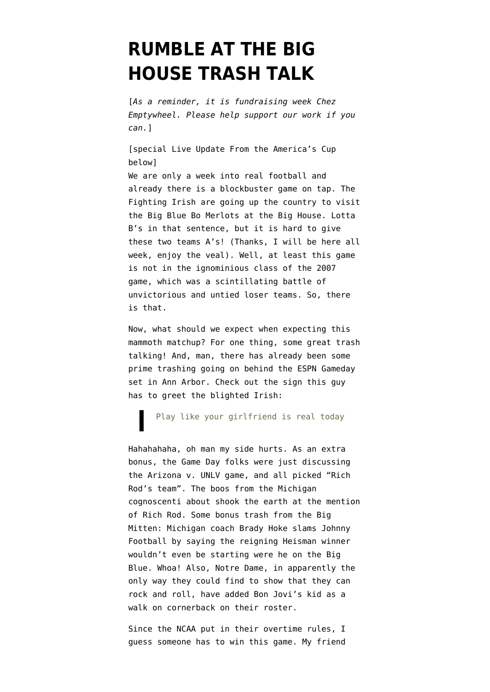## **[RUMBLE AT THE BIG](https://www.emptywheel.net/2013/09/07/rumble-at-the-big-house-trash-talk/) [HOUSE TRASH TALK](https://www.emptywheel.net/2013/09/07/rumble-at-the-big-house-trash-talk/)**

[*As a reminder, it is fundraising week Chez Emptywheel. [Please help support our work](http://www.emptywheel.net/2013/09/05/the-emptywheel-two-million-visit-fundraiser/) if you can.*]

[special Live Update From the America's Cup below] We are only a week into real football and already there is a blockbuster game on tap. The Fighting Irish are going up the country to visit the Big Blue [Bo Merlots](http://www.med.umich.edu/cvc/heartofachampion/bowines.html) at the [Big House.](http://en.wikipedia.org/wiki/Michigan_Stadium) Lotta B's in that sentence, but it is hard to give these two teams A's! (Thanks, I will be here all week, enjoy the veal). Well, at least this game is not in the ignominious class of [the 2007](http://www.nytimes.com/2007/09/16/sports/ncaafootball/16irish.html) [game,](http://www.nytimes.com/2007/09/16/sports/ncaafootball/16irish.html) which was a scintillating battle of unvictorious and untied loser teams. So, there is that.

Now, what should we expect when expecting this mammoth matchup? For one thing, some great trash talking! And, man, there has already been some prime trashing going on behind the ESPN Gameday set in Ann Arbor. Check out [the sign this guy](http://www.emptywheel.net/wp-content/uploads/2013/09/Screen-shot-2013-09-07-at-8.51.17-AM.png) [has to greet the blighted Irish:](http://www.emptywheel.net/wp-content/uploads/2013/09/Screen-shot-2013-09-07-at-8.51.17-AM.png)

Play like your girlfriend is real today

Hahahahaha, oh man my side hurts. As an extra bonus, the Game Day folks were just discussing the Arizona v. UNLV game, and all picked "Rich Rod's team". The boos from the Michigan cognoscenti about shook the earth at the mention of Rich Rod. Some bonus trash from the Big Mitten: Michigan coach Brady Hoke slams Johnny Football by saying the reigning Heisman winner [wouldn't even be starting](http://www.foxsportssouthwest.com/collegefootball/texas-am-aggies/story/Hoke-Johnny-Manziel-wouldnt-start-at-Mic?blockID=937189&feedID=11317) were he on the Big Blue. Whoa! Also, Notre Dame, in apparently the only way they could find to show that they can rock and roll, have added [Bon Jovi's kid as a](http://msn.foxsports.com/collegefootball/story/jon-bon-jovi-son-jesse-bongiovi-playing-football-at-notre-dame-as-a-walk-on-090613) [walk on cornerback](http://msn.foxsports.com/collegefootball/story/jon-bon-jovi-son-jesse-bongiovi-playing-football-at-notre-dame-as-a-walk-on-090613) on their roster.

Since the NCAA put in their overtime rules, I guess someone has to win this game. My friend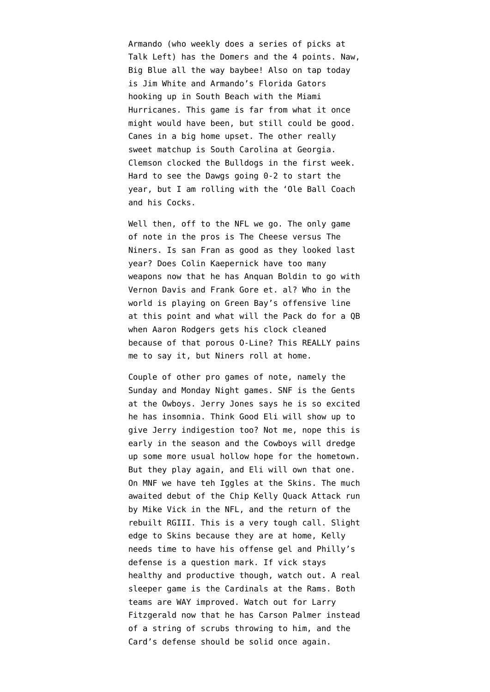Armando (who weekly does a series of picks at Talk Left) has the Domers and the 4 points. Naw, Big Blue all the way baybee! Also on tap today is Jim White and Armando's Florida Gators hooking up in South Beach with the Miami Hurricanes. This game is far from what it once might would have been, but still could be good. Canes in a big home upset. The other really sweet matchup is South Carolina at Georgia. Clemson clocked the Bulldogs in the first week. Hard to see the Dawgs going 0-2 to start the year, but I am rolling with the 'Ole Ball Coach and his Cocks.

Well then, off to the NFL we go. The only game of note in the pros is The Cheese versus The Niners. Is san Fran as good as they looked last year? Does Colin Kaepernick have too many weapons now that he has Anquan Boldin to go with Vernon Davis and Frank Gore et. al? Who in the world is playing on Green Bay's offensive line at this point and what will the Pack do for a QB when Aaron Rodgers gets his clock cleaned because of that porous O-Line? This REALLY pains me to say it, but Niners roll at home.

Couple of other pro games of note, namely the Sunday and Monday Night games. SNF is the Gents at the Owboys. Jerry Jones says he is [so excited](http://www.cbssports.com/nfl/eye-on-football/23461920/jerry-jones-cant-sleep-because-hes-so-excited-about-2013-cowboys) [he has insomnia.](http://www.cbssports.com/nfl/eye-on-football/23461920/jerry-jones-cant-sleep-because-hes-so-excited-about-2013-cowboys) Think Good Eli will show up to give Jerry indigestion too? Not me, nope this is early in the season and the Cowboys will dredge up some more usual hollow hope for the hometown. But they play again, and Eli will own that one. On MNF we have teh Iggles at the Skins. The much awaited debut of the Chip Kelly Quack Attack run by Mike Vick in the NFL, and the return of the rebuilt RGIII. This is a very tough call. Slight edge to Skins because they are at home, Kelly needs time to have his offense gel and Philly's defense is a question mark. If vick stays healthy and productive though, watch out. A real sleeper game is the Cardinals at the Rams. Both teams are WAY improved. Watch out for Larry Fitzgerald now that he has Carson Palmer instead of a string of scrubs throwing to him, and the Card's defense should be solid once again.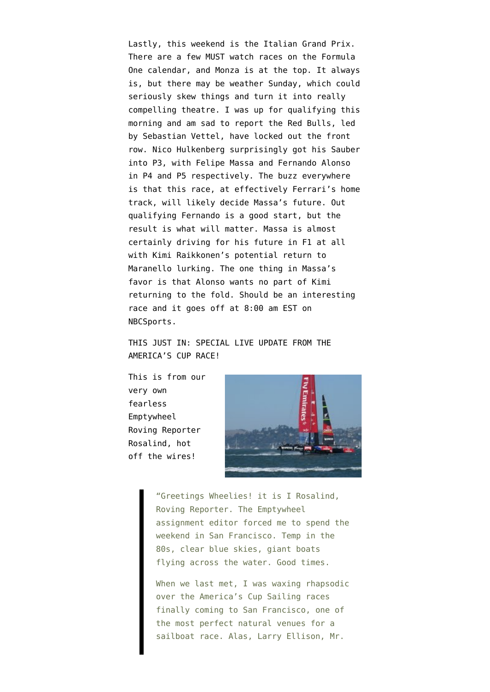Lastly, this weekend is the [Italian Grand Prix.](http://www.formula1.com/races/in_detail/italy_905/circuit_diagram.html) There are a few MUST watch races on the Formula One calendar, and Monza is at the top. It always is, but there may be weather Sunday, which could seriously skew things and turn it into really compelling theatre. I was up for qualifying this morning and am sad to report the Red Bulls, led by Sebastian Vettel, have [locked out the front](http://www.worldcarfans.com/113090762584/red-bull-dominate-italian-grand-prix-qualifying-results) [row.](http://www.worldcarfans.com/113090762584/red-bull-dominate-italian-grand-prix-qualifying-results) Nico Hulkenberg surprisingly got his Sauber into P3, with Felipe Massa and Fernando Alonso in P4 and P5 respectively. The buzz everywhere is that this race, at effectively Ferrari's home track, will likely decide Massa's future. Out qualifying Fernando is a good start, but the result is what will matter. Massa is almost certainly driving for his future in F1 at all with Kimi Raikkonen's potential return to Maranello lurking. The one thing in Massa's favor is that Alonso wants no part of Kimi returning to the fold. Should be an interesting race and it goes off at 8:00 am EST on NBCSports.

THIS JUST IN: SPECIAL LIVE UPDATE FROM THE AMERICA'S CUP RACE!

This is from our very own fearless Emptywheel Roving Reporter Rosalind, hot off the wires!



"Greetings Wheelies! it is I Rosalind, Roving Reporter. The Emptywheel assignment editor forced me to spend the weekend in San Francisco. Temp in the 80s, clear blue skies, giant boats flying across the water. Good times.

When we last met, I was waxing rhapsodic over the America's Cup Sailing races finally coming to San Francisco, one of the most perfect natural venues for a sailboat race. Alas, Larry Ellison, Mr.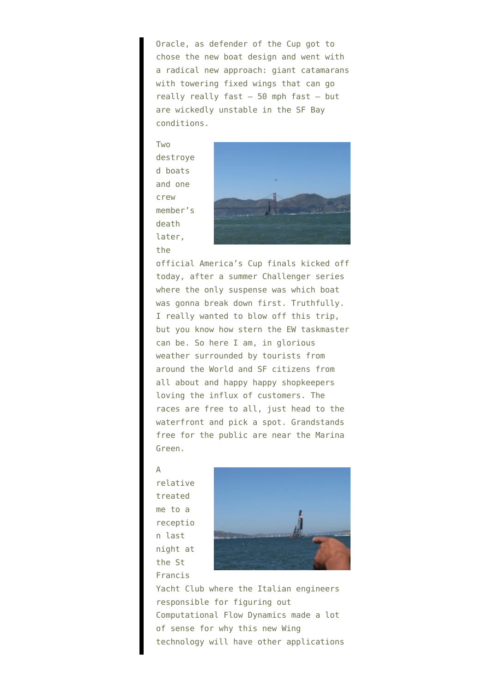Oracle, as defender of the Cup got to chose the new boat design and went with a radical new approach: giant catamarans with towering fixed wings that can go really really fast – 50 mph fast – but are wickedly unstable in the SF Bay conditions.

Two destroye d boats and one crew member's death later, the



official America's Cup finals kicked off today, after a summer Challenger series where the only suspense was which boat was gonna break down first. Truthfully. I really wanted to blow off this trip, but you know how stern the EW taskmaster can be. So here I am, in glorious weather surrounded by tourists from around the World and SF citizens from all about and happy happy shopkeepers loving the influx of customers. The races are free to all, just head to the waterfront and pick a spot. Grandstands free for the public are near the Marina Green.

## A

relative treated me to a receptio n last night at the St Francis



Yacht Club where the Italian engineers responsible for figuring out Computational Flow Dynamics made a lot of sense for why this new Wing technology will have other applications